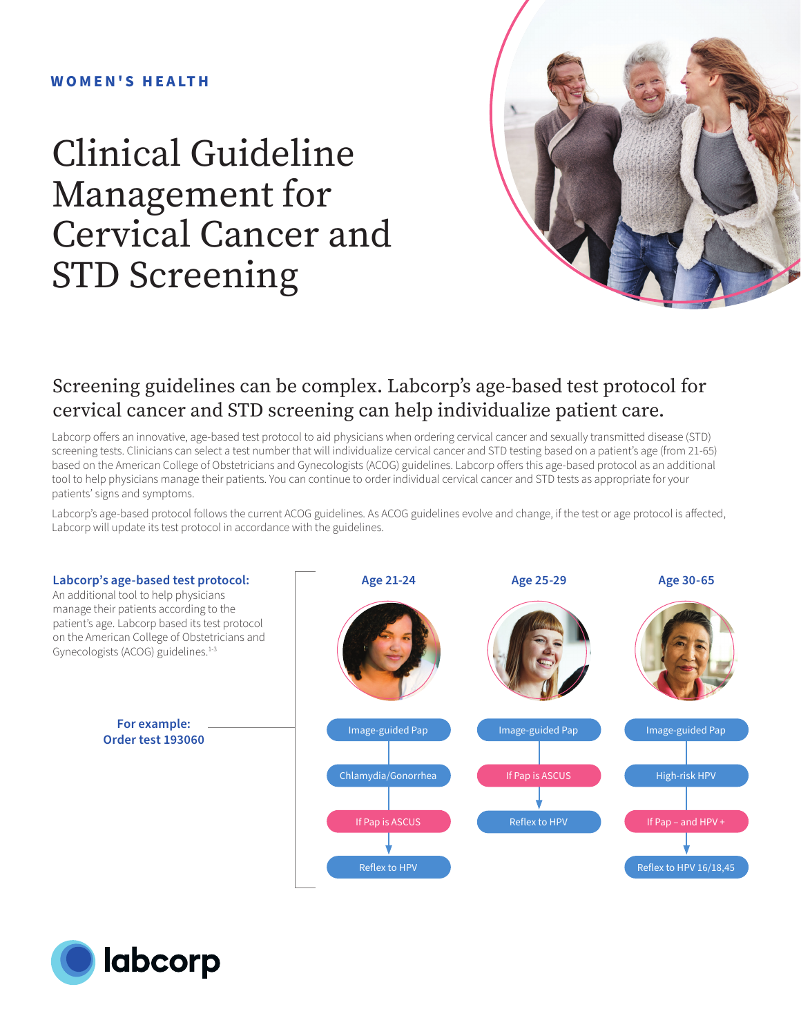#### **W O M E N ' S H E A LT H**

# Clinical Guideline Management for Cervical Cancer and STD Screening



#### Screening guidelines can be complex. Labcorp's age-based test protocol for cervical cancer and STD screening can help individualize patient care.

Labcorp offers an innovative, age-based test protocol to aid physicians when ordering cervical cancer and sexually transmitted disease (STD) screening tests. Clinicians can select a test number that will individualize cervical cancer and STD testing based on a patient's age (from 21-65) based on the American College of Obstetricians and Gynecologists (ACOG) guidelines. Labcorp offers this age-based protocol as an additional tool to help physicians manage their patients. You can continue to order individual cervical cancer and STD tests as appropriate for your patients' signs and symptoms.

Labcorp's age-based protocol follows the current ACOG guidelines. As ACOG guidelines evolve and change, if the test or age protocol is affected, Labcorp will update its test protocol in accordance with the guidelines.